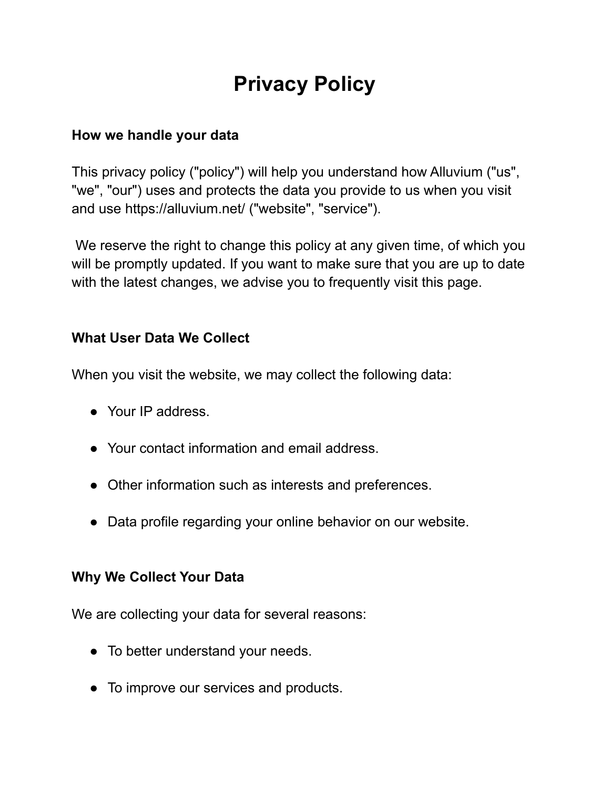# **Privacy Policy**

#### **How we handle your data**

This privacy policy ("policy") will help you understand how Alluvium ("us", "we", "our") uses and protects the data you provide to us when you visit and use https://alluvium.net/ ("website", "service").

We reserve the right to change this policy at any given time, of which you will be promptly updated. If you want to make sure that you are up to date with the latest changes, we advise you to frequently visit this page.

## **What User Data We Collect**

When you visit the website, we may collect the following data:

- Your IP address.
- Your contact information and email address.
- Other information such as interests and preferences.
- Data profile regarding your online behavior on our website.

## **Why We Collect Your Data**

We are collecting your data for several reasons:

- To better understand your needs.
- To improve our services and products.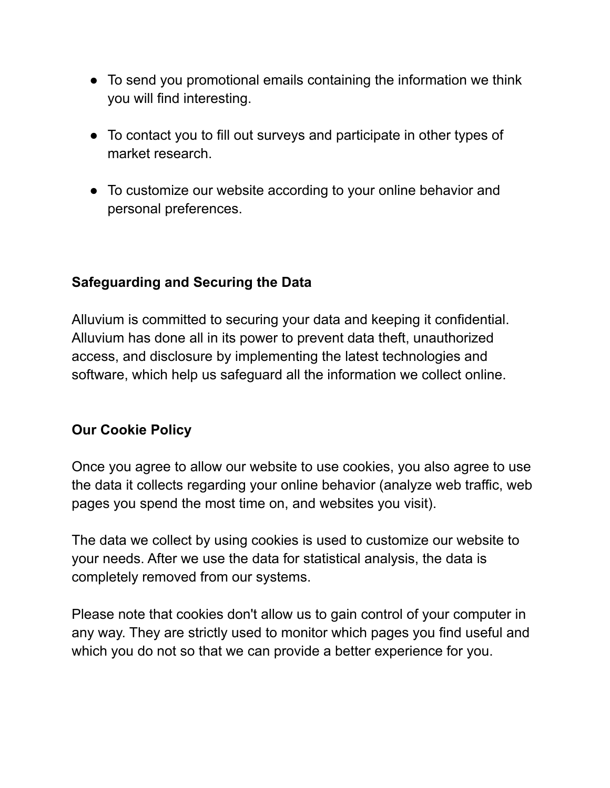- To send you promotional emails containing the information we think you will find interesting.
- To contact you to fill out surveys and participate in other types of market research.
- To customize our website according to your online behavior and personal preferences.

## **Safeguarding and Securing the Data**

Alluvium is committed to securing your data and keeping it confidential. Alluvium has done all in its power to prevent data theft, unauthorized access, and disclosure by implementing the latest technologies and software, which help us safeguard all the information we collect online.

## **Our Cookie Policy**

Once you agree to allow our website to use cookies, you also agree to use the data it collects regarding your online behavior (analyze web traffic, web pages you spend the most time on, and websites you visit).

The data we collect by using cookies is used to customize our website to your needs. After we use the data for statistical analysis, the data is completely removed from our systems.

Please note that cookies don't allow us to gain control of your computer in any way. They are strictly used to monitor which pages you find useful and which you do not so that we can provide a better experience for you.